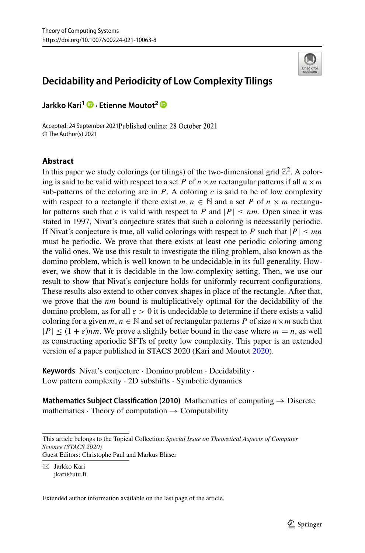

# **Decidability and Periodicity of Low Complexity Tilings**

**Jarkko Kari1 · Etienne Moutot2**

Accepted: 24 September 2021Published online: 28 October 2021 © The Author(s) 2021

## **Abstract**

In this paper we study colorings (or tilings) of the two-dimensional grid  $\mathbb{Z}^2$ . A coloring is said to be valid with respect to a set *P* of  $n \times m$  rectangular patterns if all  $n \times m$ sub-patterns of the coloring are in  $P$ . A coloring  $c$  is said to be of low complexity with respect to a rectangle if there exist  $m, n \in \mathbb{N}$  and a set *P* of  $n \times m$  rectangular patterns such that *c* is valid with respect to *P* and  $|P| \le nm$ . Open since it was stated in 1997, Nivat's conjecture states that such a coloring is necessarily periodic. If Nivat's conjecture is true, all valid colorings with respect to *P* such that  $|P| \leq mn$ must be periodic. We prove that there exists at least one periodic coloring among the valid ones. We use this result to investigate the tiling problem, also known as the domino problem, which is well known to be undecidable in its full generality. However, we show that it is decidable in the low-complexity setting. Then, we use our result to show that Nivat's conjecture holds for uniformly recurrent configurations. These results also extend to other convex shapes in place of the rectangle. After that, we prove that the *nm* bound is multiplicatively optimal for the decidability of the domino problem, as for all *ε >* 0 it is undecidable to determine if there exists a valid coloring for a given  $m, n \in \mathbb{N}$  and set of rectangular patterns *P* of size  $n \times m$  such that  $|P| \leq (1 + \varepsilon)$ *nm*. We prove a slightly better bound in the case where  $m = n$ , as well as constructing aperiodic SFTs of pretty low complexity. This paper is an extended version of a paper published in STACS 2020 (Kari and Moutot [2020\)](#page-23-0).

**Keywords** Nivat's conjecture · Domino problem · Decidability · Low pattern complexity · 2D subshifts · Symbolic dynamics

**Mathematics Subject Classification (2010)** Mathematics of computing → Discrete mathematics  $\cdot$  Theory of computation  $\rightarrow$  Computability

This article belongs to the Topical Collection: *Special Issue on Theoretical Aspects of Computer Science (STACS 2020)* Guest Editors: Christophe Paul and Markus Bläser

 $\boxtimes$  Jarkko Kari

[jkari@utu.fi](mailto: jkari@utu.fi)

Extended author information available on the last page of the article.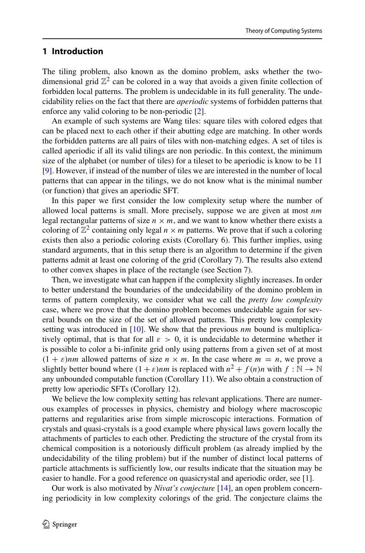## **1 Introduction**

The tiling problem, also known as the domino problem, asks whether the twodimensional grid  $\mathbb{Z}^2$  can be colored in a way that avoids a given finite collection of forbidden local patterns. The problem is undecidable in its full generality. The undecidability relies on the fact that there are *aperiodic* systems of forbidden patterns that enforce any valid coloring to be non-periodic [\[2\]](#page-22-0).

An example of such systems are Wang tiles: square tiles with colored edges that can be placed next to each other if their abutting edge are matching. In other words the forbidden patterns are all pairs of tiles with non-matching edges. A set of tiles is called aperiodic if all its valid tilings are non periodic. In this context, the minimum size of the alphabet (or number of tiles) for a tileset to be aperiodic is know to be 11 [\[9\]](#page-23-1). However, if instead of the number of tiles we are interested in the number of local patterns that can appear in the tilings, we do not know what is the minimal number (or function) that gives an aperiodic SFT.

In this paper we first consider the low complexity setup where the number of allowed local patterns is small. More precisely, suppose we are given at most *nm* legal rectangular patterns of size  $n \times m$ , and we want to know whether there exists a coloring of  $\mathbb{Z}^2$  containing only legal  $n \times m$  patterns. We prove that if such a coloring exists then also a periodic coloring exists (Corollary 6). This further implies, using standard arguments, that in this setup there is an algorithm to determine if the given patterns admit at least one coloring of the grid (Corollary 7). The results also extend to other convex shapes in place of the rectangle (see Section [7\)](#page-21-0).

Then, we investigate what can happen if the complexity slightly increases. In order to better understand the boundaries of the undecidability of the domino problem in terms of pattern complexity, we consider what we call the *pretty low complexity* case, where we prove that the domino problem becomes undecidable again for several bounds on the size of the set of allowed patterns. This pretty low complexity setting was introduced in [\[10\]](#page-23-2). We show that the previous *nm* bound is multiplicatively optimal, that is that for all  $\varepsilon > 0$ , it is undecidable to determine whether it is possible to color a bi-infinite grid only using patterns from a given set of at most  $(1 + \varepsilon)$ *nm* allowed patterns of size  $n \times m$ . In the case where  $m = n$ , we prove a slightly better bound where  $(1 + \varepsilon)$ *nm* is replaced with  $n^2 + f(n)n$  with  $f : \mathbb{N} \to \mathbb{N}$ any unbounded computable function (Corollary 11). We also obtain a construction of pretty low aperiodic SFTs (Corollary 12).

We believe the low complexity setting has relevant applications. There are numerous examples of processes in physics, chemistry and biology where macroscopic patterns and regularities arise from simple microscopic interactions. Formation of crystals and quasi-crystals is a good example where physical laws govern locally the attachments of particles to each other. Predicting the structure of the crystal from its chemical composition is a notoriously difficult problem (as already implied by the undecidability of the tiling problem) but if the number of distinct local patterns of particle attachments is sufficiently low, our results indicate that the situation may be easier to handle. For a good reference on quasicrystal and aperiodic order, see [\[1\]](#page-22-1).

Our work is also motivated by *Nivat's conjecture* [\[14\]](#page-23-3), an open problem concerning periodicity in low complexity colorings of the grid. The conjecture claims the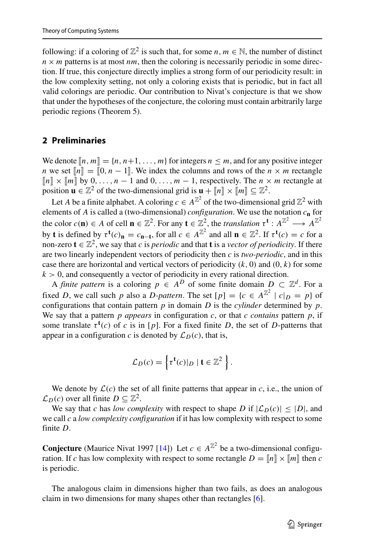following: if a coloring of  $\mathbb{Z}^2$  is such that, for some  $n, m \in \mathbb{N}$ , the number of distinct  $n \times m$  patterns is at most *nm*, then the coloring is necessarily periodic in some direction. If true, this conjecture directly implies a strong form of our periodicity result: in the low complexity setting, not only a coloring exists that is periodic, but in fact all valid colorings are periodic. Our contribution to Nivat's conjecture is that we show that under the hypotheses of the conjecture, the coloring must contain arbitrarily large periodic regions (Theorem 5).

## **2 Preliminaries**

We denote  $[n, m] = \{n, n+1, \ldots, m\}$  for integers  $n \leq m$ , and for any positive integer *n* we set  $\llbracket n \rrbracket = \llbracket 0, n-1 \rrbracket$ . We index the columns and rows of the  $n \times m$  rectangle  $[n] \times [m]$  by 0, ...,  $n-1$  and 0, ...,  $m-1$ , respectively. The  $n \times m$  rectangle at position  $\mathbf{u} \in \mathbb{Z}^2$  of the two-dimensional grid is  $\mathbf{u} + [\![n]\!] \times [\![m]\!] \subseteq \mathbb{Z}^2$ .

Let *A* be a finite alphabet. A coloring  $c \in A^{\mathbb{Z}^2}$  of the two-dimensional grid  $\mathbb{Z}^2$  with elements of *A* is called a (two-dimensional) *configuration*. We use the notation *c***<sup>n</sup>** for the color  $c(\mathbf{n}) \in A$  of cell  $\mathbf{n} \in \mathbb{Z}^2$ . For any  $\mathbf{t} \in \mathbb{Z}^2$ , the *translation*  $\tau^{\mathbf{t}}: A^{\mathbb{Z}^2} \longrightarrow A^{\mathbb{Z}^2}$ by **t** is defined by  $\tau^{\mathbf{t}}(c)$ **n** =  $c_{\mathbf{n}-\mathbf{t}}$ , for all  $c \in A^{\mathbb{Z}^2}$  and all  $\mathbf{n} \in \mathbb{Z}^2$ . If  $\tau^{\mathbf{t}}(c) = c$  for a non-zero **t** ∈  $\mathbb{Z}^2$ , we say that *c* is *periodic* and that **t** is a *vector of periodicity*. If there are two linearly independent vectors of periodicity then *c* is *two-periodic*, and in this case there are horizontal and vertical vectors of periodicity *(k,* 0*)* and *(*0*, k)* for some  $k > 0$ , and consequently a vector of periodicity in every rational direction.

A *finite pattern* is a coloring  $p \in A^D$  of some finite domain  $D \subset \mathbb{Z}^d$ . For a fixed *D*, we call such *p* also a *D*-pattern. The set  $[p] = {c \in A^{\mathbb{Z}^2} \mid c|_D = p}$  of configurations that contain pattern  $p$  in domain  $D$  is the *cylinder* determined by  $p$ . We say that a pattern  $p$  *appears* in configuration  $c$ , or that  $c$  *contains* pattern  $p$ , if some translate  $\tau^{\mathbf{t}}(c)$  of *c* is in [*p*]. For a fixed finite *D*, the set of *D*-patterns that appear in a configuration *c* is denoted by  $\mathcal{L}_D(c)$ , that is,

$$
\mathcal{L}_D(c) = \left\{ \tau^{\mathbf{t}}(c)|_D \mid \mathbf{t} \in \mathbb{Z}^2 \right\}.
$$

We denote by  $\mathcal{L}(c)$  the set of all finite patterns that appear in  $c$ , i.e., the union of  $\mathcal{L}_D(c)$  over all finite  $D \subseteq \mathbb{Z}^2$ .

We say that *c* has *low complexity* with respect to shape *D* if  $|\mathcal{L}_D(c)| \leq |D|$ , and we call *c* a *low complexity configuration* if it has low complexity with respect to some finite *D*.

**Conjecture** (Maurice Nivat 1997 [\[14\]](#page-23-3)) Let  $c \in A^{\mathbb{Z}^2}$  be a two-dimensional configuration. If *c* has low complexity with respect to some rectangle  $D = [n] \times [m]$  then *c* is periodic.

The analogous claim in dimensions higher than two fails, as does an analogous claim in two dimensions for many shapes other than rectangles [\[6\]](#page-23-4).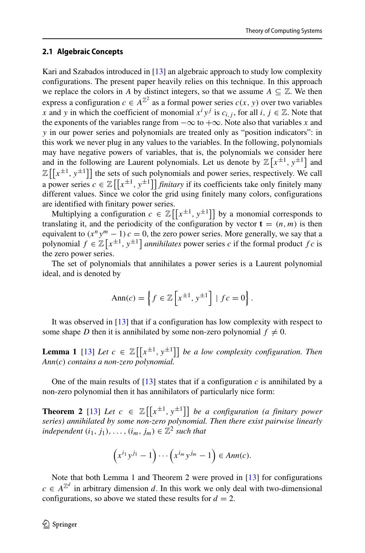#### **2.1 Algebraic Concepts**

Kari and Szabados introduced in [\[13\]](#page-23-5) an algebraic approach to study low complexity configurations. The present paper heavily relies on this technique. In this approach we replace the colors in *A* by distinct integers, so that we assume  $A \subseteq \mathbb{Z}$ . We then express a configuration  $c \in A^{\mathbb{Z}^2}$  as a formal power series  $c(x, y)$  over two variables *x* and *y* in which the coefficient of monomial  $x^i y^j$  is  $c_{i,j}$ , for all *i*,  $j \in \mathbb{Z}$ . Note that the exponents of the variables range from  $-\infty$  to  $+\infty$ . Note also that variables *x* and *y* in our power series and polynomials are treated only as "position indicators": in this work we never plug in any values to the variables. In the following, polynomials may have negative powers of variables, that is, the polynomials we consider here and in the following are Laurent polynomials. Let us denote by  $\mathbb{Z}[x^{\pm 1}, y^{\pm 1}]$  and  $\mathbb{Z}\left[\left[x^{\pm1}, y^{\pm1}\right]\right]$  the sets of such polynomials and power series, respectively. We call a power series  $c \in \mathbb{Z} \left[ \left[ x^{\pm 1}, y^{\pm 1} \right] \right]$  *finitary* if its coefficients take only finitely many different values. Since we color the grid using finitely many colors, configurations are identified with finitary power series.

Multiplying a configuration  $c \in \mathbb{Z}[[x^{\pm 1}, y^{\pm 1}]]$  by a monomial corresponds to translating it, and the periodicity of the configuration by vector  $\mathbf{t} = (n, m)$  is then equivalent to  $(x^n y^m - 1) c = 0$ , the zero power series. More generally, we say that a polynomial  $f \in \mathbb{Z}[x^{\pm 1}, y^{\pm 1}]$  *annihilates* power series *c* if the formal product  $fc$  is the zero power series.

The set of polynomials that annihilates a power series is a Laurent polynomial ideal, and is denoted by

$$
Ann(c) = \left\{ f \in \mathbb{Z} \left[ x^{\pm 1}, y^{\pm 1} \right] \mid fc = 0 \right\}.
$$

It was observed in [\[13\]](#page-23-5) that if a configuration has low complexity with respect to some shape *D* then it is annihilated by some non-zero polynomial  $f \neq 0$ .

**Lemma 1** [\[13\]](#page-23-5) *Let*  $c \in \mathbb{Z}[[x^{\pm 1}, y^{\pm 1}]]$  *be a low complexity configuration. Then Ann(c) contains a non-zero polynomial.*

One of the main results of  $[13]$  states that if a configuration *c* is annihilated by a non-zero polynomial then it has annihilators of particularly nice form:

**Theorem 2** [\[13\]](#page-23-5) *Let*  $c \in \mathbb{Z}[[x^{\pm 1}, y^{\pm 1}]]$  *be a configuration (a finitary power series) annihilated by some non-zero polynomial. Then there exist pairwise linearly independent*  $(i_1, j_1), \ldots, (i_m, j_m) \in \mathbb{Z}^2$  *such that* 

$$
(x^{i_1}y^{j_1}-1)\cdots(x^{i_m}y^{j_m}-1)\in Ann(c).
$$

Note that both Lemma 1 and Theorem 2 were proved in [\[13\]](#page-23-5) for configurations  $c \in A^{\mathbb{Z}^d}$  in arbitrary dimension *d*. In this work we only deal with two-dimensional configurations, so above we stated these results for  $d = 2$ .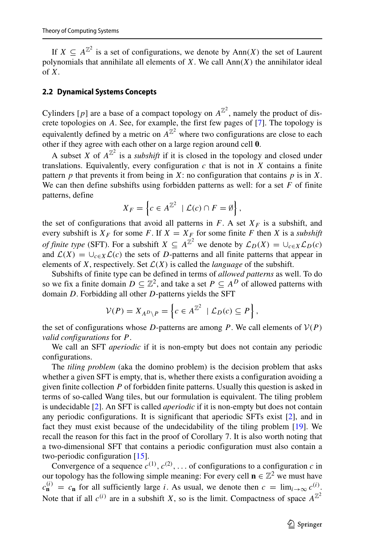If  $X \subseteq A^{\mathbb{Z}^2}$  is a set of configurations, we denote by Ann(X) the set of Laurent polynomials that annihilate all elements of *X*. We call Ann*(X)* the annihilator ideal of *X*.

### <span id="page-4-0"></span>**2.2 Dynamical Systems Concepts**

Cylinders [p] are a base of a compact topology on  $A^{\mathbb{Z}^2}$ , namely the product of discrete topologies on *A*. See, for example, the first few pages of [\[7\]](#page-23-6). The topology is equivalently defined by a metric on  $A^{\mathbb{Z}^2}$  where two configurations are close to each other if they agree with each other on a large region around cell **0**.

A subset *X* of  $A^{\mathbb{Z}^2}$  is a *subshift* if it is closed in the topology and closed under translations. Equivalently, every configuration  $c$  that is not in  $X$  contains a finite pattern  $p$  that prevents it from being in  $X$ : no configuration that contains  $p$  is in  $X$ . We can then define subshifts using forbidden patterns as well: for a set *F* of finite patterns, define

$$
X_F = \left\{ c \in A^{\mathbb{Z}^2} \mid \mathcal{L}(c) \cap F = \emptyset \right\},\
$$

the set of configurations that avoid all patterns in  $F$ . A set  $X_F$  is a subshift, and every subshift is  $X_F$  for some F. If  $X = X_F$  for some finite F then X is a *subshift of finite type* (SFT). For a subshift  $X \subseteq A^{\mathbb{Z}^2}$  we denote by  $\mathcal{L}_D(X) = \bigcup_{c \in X} \mathcal{L}_D(c)$ and  $\mathcal{L}(X) = \bigcup_{c \in X} \mathcal{L}(c)$  the sets of *D*-patterns and all finite patterns that appear in elements of *X*, respectively. Set  $\mathcal{L}(X)$  is called the *language* of the subshift.

Subshifts of finite type can be defined in terms of *allowed patterns* as well. To do so we fix a finite domain  $D \subseteq \mathbb{Z}^2$ , and take a set  $P \subseteq A^D$  of allowed patterns with domain *D*. Forbidding all other *D*-patterns yields the SFT

$$
\mathcal{V}(P) = X_{A^D \setminus P} = \left\{ c \in A^{\mathbb{Z}^2} \mid \mathcal{L}_D(c) \subseteq P \right\},\
$$

the set of configurations whose *D*-patterns are among *P*. We call elements of  $V(P)$ *valid configurations* for *P*.

We call an SFT *aperiodic* if it is non-empty but does not contain any periodic configurations.

The *tiling problem* (aka the domino problem) is the decision problem that asks whether a given SFT is empty, that is, whether there exists a configuration avoiding a given finite collection *P* of forbidden finite patterns. Usually this question is asked in terms of so-called Wang tiles, but our formulation is equivalent. The tiling problem is undecidable [\[2\]](#page-22-0). An SFT is called *aperiodic* if it is non-empty but does not contain any periodic configurations. It is significant that aperiodic SFTs exist [\[2\]](#page-22-0), and in fact they must exist because of the undecidability of the tiling problem [\[19\]](#page-23-7). We recall the reason for this fact in the proof of Corollary 7. It is also worth noting that a two-dimensional SFT that contains a periodic configuration must also contain a two-periodic configuration [\[15\]](#page-23-8).

Convergence of a sequence  $c^{(1)}$ ,  $c^{(2)}$ ,  $\dots$  of configurations to a configuration *c* in our topology has the following simple meaning: For every cell  $\mathbf{n} \in \mathbb{Z}^2$  we must have  $c_{\bf n}^{(i)} = c_{\bf n}$  for all sufficiently large *i*. As usual, we denote then  $c = \lim_{i \to \infty} c_{i}^{(i)}$ . Note that if all  $c^{(i)}$  are in a subshift *X*, so is the limit. Compactness of space  $A^{\mathbb{Z}^2}$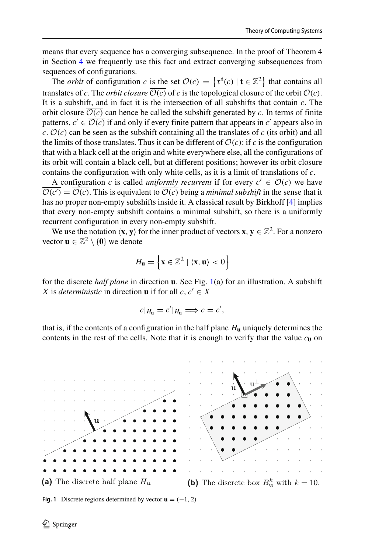means that every sequence has a converging subsequence. In the proof of Theorem 4 in Section [4](#page-10-0) we frequently use this fact and extract converging subsequences from sequences of configurations.

The *orbit* of configuration *c* is the set  $\mathcal{O}(c) = \{ \tau^{\mathbf{t}}(c) \mid \mathbf{t} \in \mathbb{Z}^2 \}$  that contains all translates of *c*. The *orbit closure*  $\overline{\mathcal{O}(c)}$  of *c* is the topological closure of the orbit  $\mathcal{O}(c)$ . It is a subshift, and in fact it is the intersection of all subshifts that contain *c*. The orbit closure  $\overline{\mathcal{O}(c)}$  can hence be called the subshift generated by *c*. In terms of finite patterns,  $c' \in \overline{\mathcal{O}(c)}$  if and only if every finite pattern that appears in  $c'$  appears also in  $c. \overline{\mathcal{O}(c)}$  can be seen as the subshift containing all the translates of *c* (its orbit) and all the limits of those translates. Thus it can be different of  $\mathcal{O}(c)$ : if *c* is the configuration that with a black cell at the origin and white everywhere else, all the configurations of its orbit will contain a black cell, but at different positions; however its orbit closure contains the configuration with only white cells, as it is a limit of translations of *c*.

A configuration *c* is called *uniformly recurrent* if for every  $c' \in \mathcal{O}(c)$  we have  $\mathcal{O}(c') = \mathcal{O}(c)$ . This is equivalent to  $\mathcal{O}(c)$  being a *minimal subshift* in the sense that it has no proper non-empty subshifts inside it. A classical result by Birkhoff [\[4\]](#page-23-9) implies that every non-empty subshift contains a minimal subshift, so there is a uniformly recurrent configuration in every non-empty subshift.

We use the notation  $\langle \mathbf{x}, \mathbf{y} \rangle$  for the inner product of vectors  $\mathbf{x}, \mathbf{y} \in \mathbb{Z}^2$ . For a nonzero vector  $\mathbf{u} \in \mathbb{Z}^2 \setminus \{0\}$  we denote

$$
H_{\mathbf{u}} = \left\{ \mathbf{x} \in \mathbb{Z}^2 \mid \langle \mathbf{x}, \mathbf{u} \rangle < 0 \right\}
$$

for the discrete *half plane* in direction **u**. See Fig. [1\(](#page-5-0)a) for an illustration. A subshift *X* is *deterministic* in direction **u** if for all *c*,  $c' \in X$ 

$$
c|_{H_{\mathbf{u}}}=c'|_{H_{\mathbf{u}}}\Longrightarrow c=c',
$$

that is, if the contents of a configuration in the half plane  $H<sub>u</sub>$  uniquely determines the contents in the rest of the cells. Note that it is enough to verify that the value  $c_0$  on

<span id="page-5-0"></span>

**Fig. 1** Discrete regions determined by vector  $\mathbf{u} = (-1, 2)$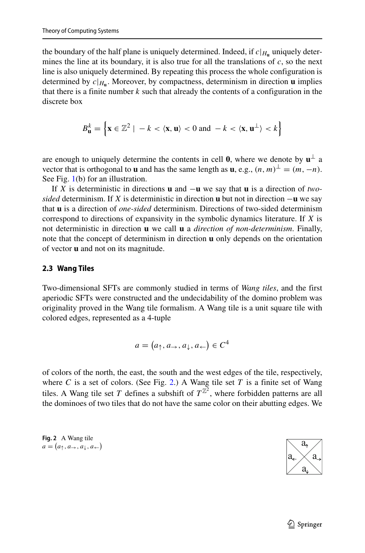the boundary of the half plane is uniquely determined. Indeed, if  $c|_{H_u}$  uniquely determines the line at its boundary, it is also true for all the translations of *c*, so the next line is also uniquely determined. By repeating this process the whole configuration is determined by  $c|_{H_u}$ . Moreover, by compactness, determinism in direction **u** implies that there is a finite number *k* such that already the contents of a configuration in the discrete box

$$
B_{\mathbf{u}}^k = \left\{ \mathbf{x} \in \mathbb{Z}^2 \mid -k < \langle \mathbf{x}, \mathbf{u} \rangle < 0 \text{ and } -k < \langle \mathbf{x}, \mathbf{u}^\perp \rangle < k \right\}
$$

are enough to uniquely determine the contents in cell **0**, where we denote by  $\mathbf{u}^{\perp}$  a vector that is orthogonal to **u** and has the same length as **u**, e.g.,  $(n, m)^{\perp} = (m, -n)$ . See Fig. [1\(](#page-5-0)b) for an illustration.

If *X* is deterministic in directions **u** and −**u** we say that **u** is a direction of *twosided* determinism. If *X* is deterministic in direction **u** but not in direction −**u** we say that **u** is a direction of *one-sided* determinism. Directions of two-sided determinism correspond to directions of expansivity in the symbolic dynamics literature. If *X* is not deterministic in direction **u** we call **u** a *direction of non-determinism*. Finally, note that the concept of determinism in direction **u** only depends on the orientation of vector **u** and not on its magnitude.

#### **2.3 Wang Tiles**

Two-dimensional SFTs are commonly studied in terms of *Wang tiles*, and the first aperiodic SFTs were constructed and the undecidability of the domino problem was originality proved in the Wang tile formalism. A Wang tile is a unit square tile with colored edges, represented as a 4-tuple

$$
a = (a_{\uparrow}, a_{\rightarrow}, a_{\downarrow}, a_{\leftarrow}) \in C^4
$$

of colors of the north, the east, the south and the west edges of the tile, respectively, where *C* is a set of colors. (See Fig. [2.](#page-6-0)) A Wang tile set *T* is a finite set of Wang tiles. A Wang tile set *T* defines a subshift of  $T^{\mathbb{Z}^2}$ , where forbidden patterns are all the dominoes of two tiles that do not have the same color on their abutting edges. We

<span id="page-6-0"></span>**Fig. 2** A Wang tile  $a = (a_{\uparrow}, a_{\rightarrow}, a_{\downarrow}, a_{\leftarrow})$ 

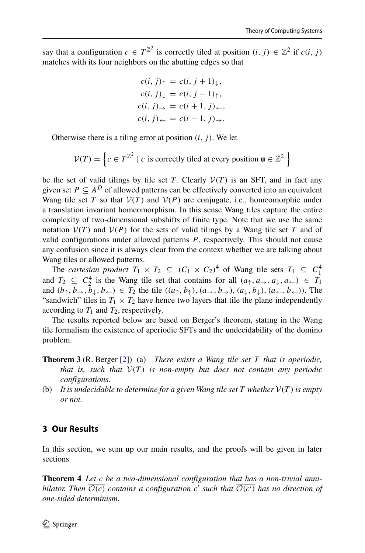say that a configuration  $c \in T^{\mathbb{Z}^2}$  is correctly tiled at position  $(i, j) \in \mathbb{Z}^2$  if  $c(i, j)$ matches with its four neighbors on the abutting edges so that

$$
c(i, j)_{\uparrow} = c(i, j + 1)_{\downarrow},
$$
  
\n
$$
c(i, j)_{\downarrow} = c(i, j - 1)_{\uparrow},
$$
  
\n
$$
c(i, j)_{\rightarrow} = c(i + 1, j)_{\leftarrow},
$$
  
\n
$$
c(i, j)_{\leftarrow} = c(i - 1, j)_{\rightarrow}.
$$

Otherwise there is a tiling error at position *(i, j )*. We let

$$
\mathcal{V}(T) = \left\{ c \in T^{\mathbb{Z}^2} \mid c \text{ is correctly tilted at every position } \mathbf{u} \in \mathbb{Z}^2 \right\}
$$

be the set of valid tilings by tile set *T*. Clearly  $V(T)$  is an SFT, and in fact any given set  $P \subseteq A^D$  of allowed patterns can be effectively converted into an equivalent Wang tile set *T* so that  $V(T)$  and  $V(P)$  are conjugate, i.e., homeomorphic under a translation invariant homeomorphism. In this sense Wang tiles capture the entire complexity of two-dimensional subshifts of finite type. Note that we use the same notation  $V(T)$  and  $V(P)$  for the sets of valid tilings by a Wang tile set *T* and of valid configurations under allowed patterns *P*, respectively. This should not cause any confusion since it is always clear from the context whether we are talking about Wang tiles or allowed patterns.

The *cartesian product*  $T_1 \times T_2 \subseteq (C_1 \times C_2)^4$  of Wang tile sets  $T_1 \subseteq C_1^4$ and  $T_2 \subseteq C_2^4$  is the Wang tile set that contains for all  $(a_1, a_-, a_+, a_+) \in T_1$ and  $(b_1, b_-, b_+, b_+) \in T_2$  the tile  $((a_1, b_1), (a_+, b_+), (a_1, b_1), (a_+, b_+))$ . The "sandwich" tiles in  $T_1 \times T_2$  have hence two layers that tile the plane independently according to  $T_1$  and  $T_2$ , respectively.

The results reported below are based on Berger's theorem, stating in the Wang tile formalism the existence of aperiodic SFTs and the undecidability of the domino problem.

- **Theorem 3** (R. Berger [\[2\]](#page-22-0)) (a) *There exists a Wang tile set T that is aperiodic, that is, such that*  $V(T)$  *is non-empty but does not contain any periodic configurations.*
- (b) It is undecidable to determine for a given Wang tile set  $T$  whether  $V(T)$  is empty *or not.*

## **3 Our Results**

In this section, we sum up our main results, and the proofs will be given in later sections

**Theorem 4** *Let c be a two-dimensional configuration that has a non-trivial annihilator. Then* O*(c) contains a configuration c such that* O*(c ) has no direction of one-sided determinism.*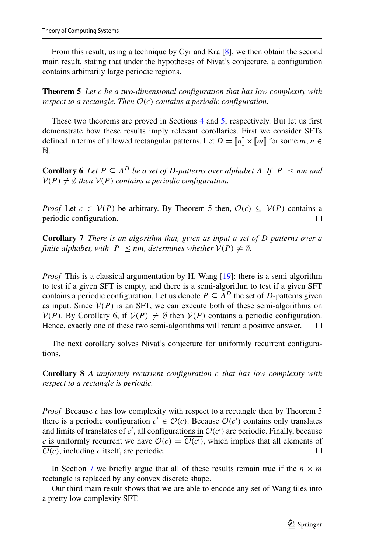From this result, using a technique by Cyr and Kra [\[8\]](#page-23-10), we then obtain the second main result, stating that under the hypotheses of Nivat's conjecture, a configuration contains arbitrarily large periodic regions.

**Theorem 5** *Let c be a two-dimensional configuration that has low complexity with respect to a rectangle. Then*  $\overline{\mathcal{O}(c)}$  *contains a periodic configuration.* 

These two theorems are proved in Sections [4](#page-10-0) and [5,](#page-14-0) respectively. But let us first demonstrate how these results imply relevant corollaries. First we consider SFTs defined in terms of allowed rectangular patterns. Let  $D = \llbracket n \rrbracket \times \llbracket m \rrbracket$  for some  $m, n \in$ N.

**Corollary 6** *Let*  $P \subseteq A^D$  *be a set of D-patterns over alphabet A.* If  $|P| \le nm$  *and*  $V(P) \neq \emptyset$  *then*  $V(P)$  *contains a periodic configuration.* 

*Proof* Let *c* ∈  $V(P)$  be arbitrary. By Theorem 5 then,  $\overline{O(c)} \subseteq V(P)$  contains a periodic configuration. periodic configuration.

**Corollary 7** *There is an algorithm that, given as input a set of D-patterns over a finite alphabet, with*  $|P| \le nm$ *, determines whether*  $V(P) \neq \emptyset$ *.* 

*Proof* This is a classical argumentation by H. Wang [\[19\]](#page-23-7): there is a semi-algorithm to test if a given SFT is empty, and there is a semi-algorithm to test if a given SFT contains a periodic configuration. Let us denote  $P \subseteq A^D$  the set of *D*-patterns given as input. Since  $V(P)$  is an SFT, we can execute both of these semi-algorithms on  $V(P)$ . By Corollary 6, if  $V(P) \neq \emptyset$  then  $V(P)$  contains a periodic configuration.<br>Hence, exactly one of these two semi-algorithms will return a positive answer. Hence, exactly one of these two semi-algorithms will return a positive answer.

The next corollary solves Nivat's conjecture for uniformly recurrent configurations.

**Corollary 8** *A uniformly recurrent configuration c that has low complexity with respect to a rectangle is periodic.*

*Proof* Because *c* has low complexity with respect to a rectangle then by Theorem 5 there is a periodic configuration  $c' \in \mathcal{O}(c)$ . Because  $\mathcal{O}(c')$  contains only translates and limits of translates of *c'*, all configurations in  $\mathcal{O}(c')$  are periodic. Finally, because *c* is uniformly recurrent we have  $O(c) = O(c')$ , which implies that all elements of  $\overline{\mathcal{O}(c)}$ , including *c* itself, are periodic.  $\Box$ 

In Section [7](#page-21-0) we briefly argue that all of these results remain true if the  $n \times m$ rectangle is replaced by any convex discrete shape.

Our third main result shows that we are able to encode any set of Wang tiles into a pretty low complexity SFT.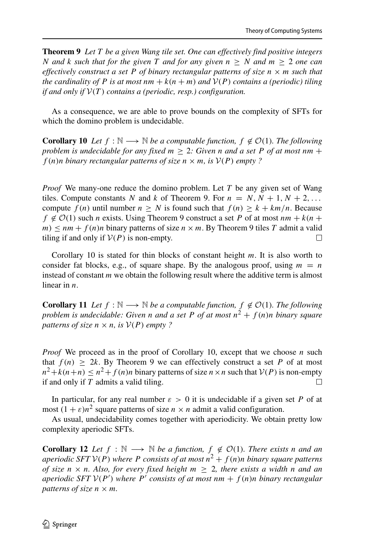**Theorem 9** *Let T be a given Wang tile set. One can effectively find positive integers N* and *k* such that for the given *T* and for any given  $n \geq N$  and  $m \geq 2$  one can *effectively construct a set*  $P$  *of binary rectangular patterns of size*  $n \times m$  *such that the cardinality of P is at most*  $nm + k(n + m)$  *and*  $V(P)$  *contains a (periodic) tiling if and only if* V*(T ) contains a (periodic, resp.) configuration.*

As a consequence, we are able to prove bounds on the complexity of SFTs for which the domino problem is undecidable.

**Corollary 10** *Let*  $f : \mathbb{N} \longrightarrow \mathbb{N}$  *be a computable function,*  $f \notin \mathcal{O}(1)$ *. The following problem is undecidable for any fixed*  $m > 2$ *: Given <i>n* and *a set P of at most nm* + *f* (*n*)*n binary rectangular patterns of size*  $n \times m$ *, is*  $V(P)$  *empty* ?

*Proof* We many-one reduce the domino problem. Let *T* be any given set of Wang tiles. Compute constants *N* and *k* of Theorem 9. For  $n = N, N + 1, N + 2, \ldots$ compute  $f(n)$  until number  $n \geq N$  is found such that  $f(n) \geq k + km/n$ . Because  $f \notin \mathcal{O}(1)$  such *n* exists. Using Theorem 9 construct a set *P* of at most  $nm + k(n + 1)$ *m*)  $\leq$  *nm* + *f*(*n*)*n* binary patterns of size *n* × *m*. By Theorem 9 tiles *T* admit a valid tiling if and only if  $V(P)$  is non-empty. tiling if and only if  $V(P)$  is non-empty.

Corollary 10 is stated for thin blocks of constant height *m*. It is also worth to consider fat blocks, e.g., of square shape. By the analogous proof, using  $m = n$ instead of constant *m* we obtain the following result where the additive term is almost linear in *n*.

**Corollary 11** *Let*  $f : \mathbb{N} \longrightarrow \mathbb{N}$  *be a computable function,*  $f \notin \mathcal{O}(1)$ *. The following problem is undecidable: Given n and a set P of at most*  $n^2 + f(n)n$  *binary square patterns of size*  $n \times n$ *, is*  $V(P)$  *empty* ?

*Proof* We proceed as in the proof of Corollary 10, except that we choose *n* such that  $f(n) \geq 2k$ . By Theorem 9 we can effectively construct a set P of at most  $n^2 + k(n+n) \le n^2 + f(n)n$  binary patterns of size  $n \times n$  such that  $V(P)$  is non-empty if and only if T admits a valid tiling if and only if *T* admits a valid tiling.

In particular, for any real number  $\varepsilon > 0$  it is undecidable if a given set *P* of at most  $(1 + \varepsilon)n^2$  square patterns of size  $n \times n$  admit a valid configuration.

As usual, undecidability comes together with aperiodicity. We obtain pretty low complexity aperiodic SFTs.

**Corollary 12** *Let*  $f : \mathbb{N} \longrightarrow \mathbb{N}$  *be a function,*  $f \notin \mathcal{O}(1)$ *. There exists n and an aperiodic SFT*  $V(P)$  *where P consists of at most*  $n^2 + f(n)n$  *binary square patterns of size*  $n \times n$ *. Also, for every fixed height*  $m \geq 2$ *, there exists a width n* and an *aperiodic SFT* V*(P ) where P consists of at most nm* + *f (n)n binary rectangular patterns of size*  $n \times m$ *.*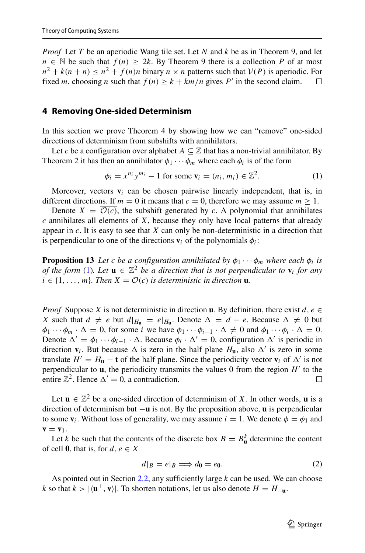*Proof* Let *T* be an aperiodic Wang tile set. Let *N* and *k* be as in Theorem 9, and let  $n \in \mathbb{N}$  be such that  $f(n) \geq 2k$ . By Theorem 9 there is a collection *P* of at most  $n^2 + k(n+n) \le n^2 + f(n)n$  binary  $n \times n$  patterns such that  $V(P)$  is aperiodic. For fixed *m* choosing *n* such that  $f(n) \ge k + km/n$  gives *P'* in the second claim fixed *m*, choosing *n* such that  $f(n) \geq k + km/n$  gives *P'* in the second claim.

#### <span id="page-10-0"></span>**4 Removing One-sided Determinism**

In this section we prove Theorem 4 by showing how we can "remove" one-sided directions of determinism from subshifts with annihilators.

Let *c* be a configuration over alphabet  $A \subseteq \mathbb{Z}$  that has a non-trivial annihilator. By Theorem 2 it has then an annihilator  $\phi_1 \cdots \phi_m$  where each  $\phi_i$  is of the form

<span id="page-10-1"></span>
$$
\phi_i = x^{n_i} y^{m_i} - 1 \text{ for some } \mathbf{v}_i = (n_i, m_i) \in \mathbb{Z}^2. \tag{1}
$$

Moreover, vectors  $\mathbf{v}_i$  can be chosen pairwise linearly independent, that is, in different directions. If  $m = 0$  it means that  $c = 0$ , therefore we may assume  $m > 1$ .

Denote  $X = \overline{\mathcal{O}(c)}$ , the subshift generated by *c*. A polynomial that annihilates *c* annihilates all elements of *X*, because they only have local patterns that already appear in *c*. It is easy to see that *X* can only be non-deterministic in a direction that is perpendicular to one of the directions  $\mathbf{v}_i$  of the polynomials  $\phi_i$ :

**Proposition 13** *Let c be a configuration annihilated by*  $\phi_1 \cdots \phi_m$  *where each*  $\phi_i$  *is of the form* [\(1\)](#page-10-1)*. Let*  $\mathbf{u} \in \mathbb{Z}^2$  *be a direction that is not perpendicular to*  $\mathbf{v}_i$  *for any i* ∈ {1, ..., *m*}*. Then*  $X = \overline{O(c)}$  *is deterministic in direction* **u***.* 

*Proof* Suppose *X* is not deterministic in direction **u**. By definition, there exist *d*, *e* ∈ *X* such that  $d \neq e$  but  $d|_{H_{\mathbf{u}}} = e|_{H_{\mathbf{u}}}$ . Denote  $\Delta = d - e$ . Because  $\Delta \neq 0$  but  $\phi_1 \cdots \phi_m \cdot \Delta = 0$ , for some *i* we have  $\phi_1 \cdots \phi_{i-1} \cdot \Delta \neq 0$  and  $\phi_1 \cdots \phi_i \cdot \Delta = 0$ . Denote  $\Delta' = \phi_1 \cdots \phi_{i-1} \cdot \Delta$ . Because  $\phi_i \cdot \Delta' = 0$ , configuration  $\Delta'$  is periodic in direction  $\mathbf{v}_i$ . But because  $\Delta$  is zero in the half plane  $H_{\mathbf{u}}$ , also  $\Delta'$  is zero in some translate  $H' = H_{\mathbf{u}} - \mathbf{t}$  of the half plane. Since the periodicity vector  $\mathbf{v}_i$  of  $\Delta'$  is not perpendicular to  $\mathbf{u}$ , the periodicity transmits the values 0 from the region  $H'$  to the entire  $\mathbb{Z}^2$ . Hence  $\Delta' = 0$ , a contradiction.  $\Box$ 

Let  $\mathbf{u} \in \mathbb{Z}^2$  be a one-sided direction of determinism of *X*. In other words, **u** is a direction of determinism but −**u** is not. By the proposition above, **u** is perpendicular to some  $\mathbf{v}_i$ . Without loss of generality, we may assume  $i = 1$ . We denote  $\phi = \phi_1$  and  $\mathbf{v} = \mathbf{v}_1$ .

Let *k* be such that the contents of the discrete box  $B = B_{\mathbf{u}}^k$  determine the content of cell **0**, that is, for  $d, e \in X$ 

<span id="page-10-2"></span>
$$
d|_B = e|_B \Longrightarrow d_0 = e_0. \tag{2}
$$

As pointed out in Section [2.2,](#page-4-0) any sufficiently large *k* can be used. We can choose *k* so that  $k > |\langle u^\perp, v \rangle|$ . To shorten notations, let us also denote  $H = H_{-n}$ .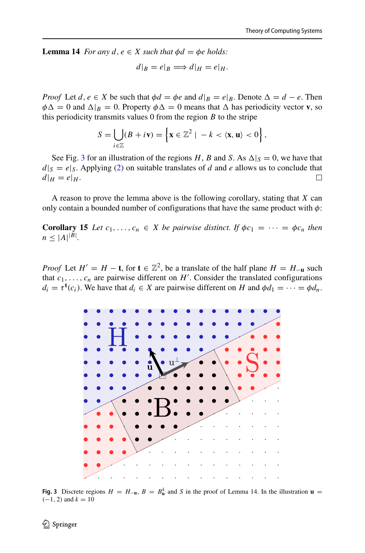**Lemma 14** *For any*  $d, e \in X$  *such that*  $\phi d = \phi e$  *holds:* 

$$
d|_B = e|_B \Longrightarrow d|_H = e|_H.
$$

*Proof* Let *d*,  $e \in X$  be such that  $\phi d = \phi e$  and  $d|_B = e|_B$ . Denote  $\Delta = d - e$ . Then  $\phi \Delta = 0$  and  $\Delta | B = 0$ . Property  $\phi \Delta = 0$  means that  $\Delta$  has periodicity vector **v**, so this periodicity transmits values  $0$  from the region  $B$  to the stripe

$$
S = \bigcup_{i \in \mathbb{Z}} (B + i\mathbf{v}) = \left\{ \mathbf{x} \in \mathbb{Z}^2 \mid -k \lt \langle \mathbf{x}, \mathbf{u} \rangle \lt 0 \right\},\
$$

See Fig. [3](#page-11-0) for an illustration of the regions *H*, *B* and *S*. As  $\Delta |_{S} = 0$ , we have that  $d|s = e|s$ . Applying [\(2\)](#page-10-2) on suitable translates of *d* and *e* allows us to conclude that  $d|u = e|u$ .  $d|_H = e|_H$ .

A reason to prove the lemma above is the following corollary, stating that *X* can only contain a bounded number of configurations that have the same product with *φ*:

**Corollary 15** *Let*  $c_1, \ldots, c_n \in X$  *be pairwise distinct. If*  $\phi c_1 = \cdots = \phi c_n$  *then*  $n \leq |A|^{|B|}$ .

*Proof* Let  $H' = H - \mathbf{t}$ , for  $\mathbf{t} \in \mathbb{Z}^2$ , be a translate of the half plane  $H = H_{-\mathbf{u}}$  such that  $c_1, \ldots, c_n$  are pairwise different on  $H'$ . Consider the translated configurations  $d_i = \tau^{\mathbf{t}}(c_i)$ . We have that  $d_i \in X$  are pairwise different on *H* and  $\phi d_1 = \cdots = \phi d_n$ .

<span id="page-11-0"></span>

**Fig. 3** Discrete regions  $H = H_{-\mathbf{u}}$ ,  $B = B_{\mathbf{u}}^k$  and *S* in the proof of Lemma 14. In the illustration  $\mathbf{u} =$  $(-1, 2)$  and  $k = 10$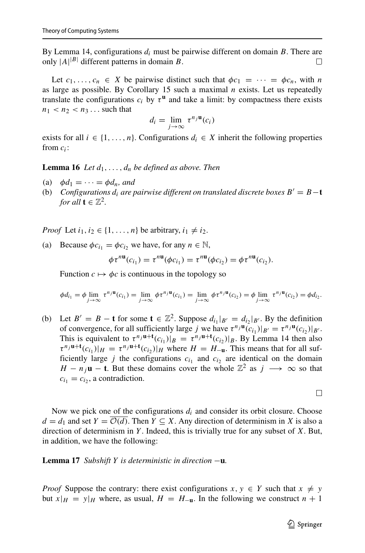By Lemma 14, configurations *di* must be pairwise different on domain *B*. There are only  $|A|^{|B|}$  different patterns in domain *B*.  $\Box$ 

Let  $c_1, \ldots, c_n \in X$  be pairwise distinct such that  $\phi c_1 = \cdots = \phi c_n$ , with *n* as large as possible. By Corollary 15 such a maximal *n* exists. Let us repeatedly translate the configurations  $c_i$  by  $\tau$ <sup>**u**</sup> and take a limit: by compactness there exists  $n_1 < n_2 < n_3 \ldots$  such that

$$
d_i = \lim_{j \to \infty} \tau^{n_j \mathbf{u}}(c_i)
$$

exists for all  $i \in \{1, \ldots, n\}$ . Configurations  $d_i \in X$  inherit the following properties from *ci*:

**Lemma 16** *Let*  $d_1, \ldots, d_n$  *be defined as above. Then* 

- (a)  $\phi d_1 = \cdots = \phi d_n$ *, and*
- (b) *Configurations d<sub>i</sub> are pairwise different on translated discrete boxes*  $B' = B t$ *for all*  $\mathbf{t} \in \mathbb{Z}^2$ .

*Proof* Let  $i_1, i_2 \in \{1, \ldots, n\}$  be arbitrary,  $i_1 \neq i_2$ .

(a) Because  $\phi c_{i_1} = \phi c_{i_2}$  we have, for any  $n \in \mathbb{N}$ ,

$$
\phi \tau^{n\mathbf{u}}(c_{i_1}) = \tau^{n\mathbf{u}}(\phi c_{i_1}) = \tau^{n\mathbf{u}}(\phi c_{i_2}) = \phi \tau^{n\mathbf{u}}(c_{i_2}).
$$

Function  $c \mapsto \phi c$  is continuous in the topology so

$$
\phi d_{i_1} = \phi \lim_{j \to \infty} \tau^{n_j} \mathbf{u}(c_{i_1}) = \lim_{j \to \infty} \phi \tau^{n_j} \mathbf{u}(c_{i_1}) = \lim_{j \to \infty} \phi \tau^{n_j} \mathbf{u}(c_{i_2}) = \phi \lim_{j \to \infty} \tau^{n_j} \mathbf{u}(c_{i_2}) = \phi d_{i_2}.
$$

(b) Let  $B' = B - t$  for some  $t \in \mathbb{Z}^2$ . Suppose  $d_{i_1}|_{B'} = d_{i_2}|_{B'}$ . By the definition of convergence, for all sufficiently large *j* we have  $\tau^{n_j}$ **u** $(c_{i_1})|_{B'} = \tau^{n_j}$ **u** $(c_{i_2})|_{B'}$ . This is equivalent to  $\tau^{n_j}\mathbf{u}^{+\mathbf{t}}(c_{i_1})|_B = \tau^{n_j}\mathbf{u}^{+\mathbf{t}}(c_{i_2})|_B$ . By Lemma 14 then also  $\tau^{n_j}$ **u**+**t**</sup> $(c_{i_1})|_H = \tau^{n_j}$ **u**+**t** $(c_{i_2})|_H$  where  $H = H_{-\mathbf{u}}$ . This means that for all sufficiently large *j* the configurations  $c_{i_1}$  and  $c_{i_2}$  are identical on the domain *H* − *n<sub>j</sub>***u** − **t**. But these domains cover the whole  $\mathbb{Z}^2$  as *j* → ∞ so that  $c_{i_1} = c_{i_2}$ , a contradiction.

 $\Box$ 

Now we pick one of the configurations *di* and consider its orbit closure. Choose  $d = d_1$  and set  $Y = \overline{\mathcal{O}(d)}$ . Then  $Y \subseteq X$ . Any direction of determinism in X is also a direction of determinism in *Y* . Indeed, this is trivially true for any subset of *X*. But, in addition, we have the following:

#### **Lemma 17** *Subshift Y is deterministic in direction* −**u***.*

*Proof* Suppose the contrary: there exist configurations  $x, y \in Y$  such that  $x \neq y$ but  $x|_H = y|_H$  where, as usual,  $H = H_{-\mathbf{u}}$ . In the following we construct  $n + 1$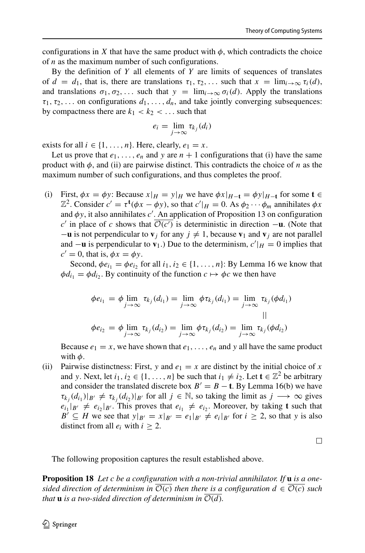configurations in *X* that have the same product with  $\phi$ , which contradicts the choice of *n* as the maximum number of such configurations.

By the definition of *Y* all elements of *Y* are limits of sequences of translates of  $d = d_1$ , that is, there are translations  $\tau_1, \tau_2, \ldots$  such that  $x = \lim_{i \to \infty} \tau_i(d)$ , and translations  $\sigma_1, \sigma_2, \ldots$  such that  $y = \lim_{i \to \infty} \sigma_i(d)$ . Apply the translations  $\tau_1, \tau_2, \ldots$  on configurations  $d_1, \ldots, d_n$ , and take jointly converging subsequences: by compactness there are  $k_1 < k_2 < \dots$  such that

$$
e_i = \lim_{j \to \infty} \tau_{k_j}(d_i)
$$

exists for all  $i \in \{1, ..., n\}$ . Here, clearly,  $e_1 = x$ .

Let us prove that  $e_1, \ldots, e_n$  and *y* are  $n + 1$  configurations that (i) have the same product with  $\phi$ , and (ii) are pairwise distinct. This contradicts the choice of *n* as the maximum number of such configurations, and thus completes the proof.

(i) First,  $\phi x = \phi y$ : Because  $x|_H = y|_H$  we have  $\phi x|_{H-\mathbf{t}} = \phi y|_{H-\mathbf{t}}$  for some  $\mathbf{t} \in$  $\mathbb{Z}^2$ . Consider  $c' = \tau^{\mathbf{t}}(\phi x - \phi y)$ , so that  $c'|_H = 0$ . As  $\phi_2 \cdots \phi_m$  annihilates  $\phi x$ and *φy*, it also annihilates *c* . An application of Proposition 13 on configuration  $c'$  in place of *c* shows that  $O(c')$  is deterministic in direction  $-\mathbf{u}$ . (Note that  $-\mathbf{u}$  is not perpendicular to  $\mathbf{v}_i$  for any  $j \neq 1$ , because  $\mathbf{v}_1$  and  $\mathbf{v}_i$  are not parallel and  $-\mathbf{u}$  is perpendicular to  $\mathbf{v}_1$ .) Due to the determinism,  $c'|_H = 0$  implies that  $c' = 0$ , that is,  $\phi x = \phi y$ .

Second,  $\phi e_{i_1} = \phi e_{i_2}$  for all  $i_1, i_2 \in \{1, \ldots, n\}$ : By Lemma 16 we know that  $\phi d_{i_1} = \phi d_{i_2}$ . By continuity of the function  $c \mapsto \phi c$  we then have

$$
\phi e_{i_1} = \phi \lim_{j \to \infty} \tau_{k_j}(d_{i_1}) = \lim_{j \to \infty} \phi \tau_{k_j}(d_{i_1}) = \lim_{j \to \infty} \tau_{k_j}(\phi d_{i_1})
$$
  
||  

$$
\phi e_{i_2} = \phi \lim_{j \to \infty} \tau_{k_j}(d_{i_2}) = \lim_{j \to \infty} \phi \tau_{k_j}(d_{i_2}) = \lim_{j \to \infty} \tau_{k_j}(\phi d_{i_2})
$$

Because  $e_1 = x$ , we have shown that  $e_1, \ldots, e_n$  and y all have the same product with *φ*.

(ii) Pairwise distinctness: First, *y* and  $e_1 = x$  are distinct by the initial choice of *x* and *y*. Next, let  $i_1, i_2 \in \{1, \ldots, n\}$  be such that  $i_1 \neq i_2$ . Let  $\mathbf{t} \in \mathbb{Z}^2$  be arbitrary and consider the translated discrete box  $B' = B - t$ . By Lemma 16(b) we have  $\tau_{k_i}(d_{i_1})|_{B'} \neq \tau_{k_i}(d_{i_2})|_{B'}$  for all  $j \in \mathbb{N}$ , so taking the limit as  $j \longrightarrow \infty$  gives  $e_{i_1}|_{B'} \neq e_{i_2}|_{B'}$ . This proves that  $e_{i_1} \neq e_{i_2}$ . Moreover, by taking **t** such that *B*<sup> $\prime$ </sup> ⊆ *H* we see that  $y|_{B'} = x|_{B'} = e_1|_{B'} \neq e_i|_{B'}$  for  $i \geq 2$ , so that *y* is also distinct from all  $e_i$  with  $i \geq 2$ .

 $\Box$ 

The following proposition captures the result established above.

**Proposition 18** *Let c be a configuration with a non-trivial annihilator. If* **u** *is a onesided direction of determinism in*  $\mathcal{O}(c)$  *then there is a configuration*  $d \in \mathcal{O}(c)$  *such that* **u** *is a two-sided direction of determinism in*  $O(d)$ *.*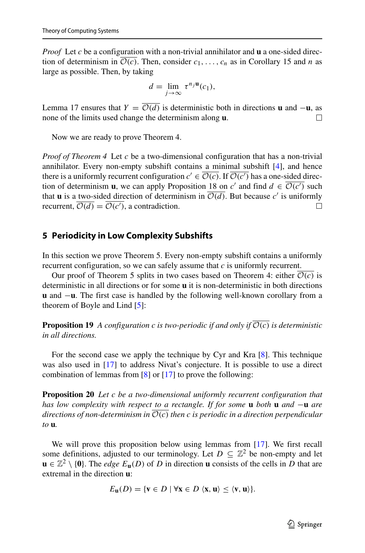*Proof* Let *c* be a configuration with a non-trivial annihilator and **u** a one-sided direction of determinism in  $\overline{\mathcal{O}(c)}$ . Then, consider  $c_1, \ldots, c_n$  as in Corollary 15 and *n* as large as possible. Then, by taking

$$
d=\lim_{j\to\infty}\,\tau^{n_j}\mathbf{u}(c_1),
$$

Lemma 17 ensures that  $Y = \overline{\mathcal{O}(d)}$  is deterministic both in directions **u** and  $-\mathbf{u}$ , as none of the limits used change the determinism along **u**. none of the limits used change the determinism along **u**.

Now we are ready to prove Theorem 4.

*Proof of Theorem 4* Let *c* be a two-dimensional configuration that has a non-trivial annihilator. Every non-empty subshift contains a minimal subshift [\[4\]](#page-23-9), and hence there is a uniformly recurrent configuration  $c' \in \mathcal{O}(c)$ . If  $\mathcal{O}(c')$  has a one-sided direction of determinism **u**, we can apply Proposition 18 on *c'* and find  $d \in \mathcal{O}(c')$  such that **u** is a two-sided direction of determinism in  $\overline{\mathcal{O}(d)}$ . But because *c'* is uniformly recurrent.  $\overline{\mathcal{O}(d)} = \overline{\mathcal{O}(c')}$ , a contradiction. recurrent,  $O(d) = O(c')$ , a contradiction.

### <span id="page-14-0"></span>**5 Periodicity in Low Complexity Subshifts**

In this section we prove Theorem 5. Every non-empty subshift contains a uniformly recurrent configuration, so we can safely assume that *c* is uniformly recurrent.

Our proof of Theorem 5 splits in two cases based on Theorem 4: either  $\mathcal{O}(c)$  is deterministic in all directions or for some **u** it is non-deterministic in both directions **u** and −**u**. The first case is handled by the following well-known corollary from a theorem of Boyle and Lind [\[5\]](#page-23-11):

**Proposition 19** *A configuration c is two-periodic if and only if*  $\mathcal{O}(c)$  *is deterministic in all directions.*

For the second case we apply the technique by Cyr and Kra [\[8\]](#page-23-10). This technique was also used in [\[17\]](#page-23-12) to address Nivat's conjecture. It is possible to use a direct combination of lemmas from [\[8\]](#page-23-10) or [\[17\]](#page-23-12) to prove the following:

**Proposition 20** *Let c be a two-dimensional uniformly recurrent configuration that has low complexity with respect to a rectangle. If for some* **u** *both* **u** *and* −**u** *are directions of non-determinism in* O*(c) then c is periodic in a direction perpendicular to* **u***.*

We will prove this proposition below using lemmas from [\[17\]](#page-23-12). We first recall some definitions, adjusted to our terminology. Let  $D \subseteq \mathbb{Z}^2$  be non-empty and let  $\mathbf{u} \in \mathbb{Z}^2 \setminus \{0\}$ . The *edge*  $E_{\mathbf{u}}(D)$  of *D* in direction **u** consists of the cells in *D* that are extremal in the direction **u**:

$$
E_{\mathbf{u}}(D) = \{\mathbf{v} \in D \mid \forall \mathbf{x} \in D \langle \mathbf{x}, \mathbf{u} \rangle \le \langle \mathbf{v}, \mathbf{u} \rangle\}.
$$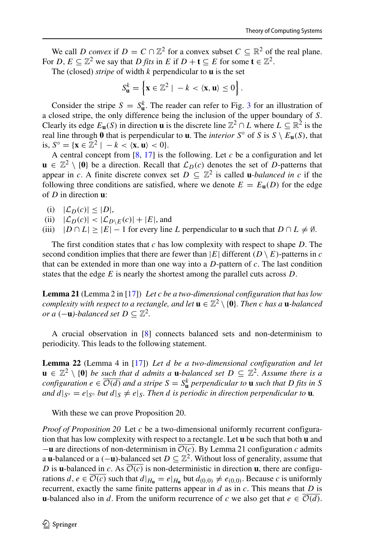We call *D* convex if  $D = C \cap \mathbb{Z}^2$  for a convex subset  $C \subseteq \mathbb{R}^2$  of the real plane. For *D*,  $E \subseteq \mathbb{Z}^2$  we say that *D fits* in *E* if  $D + t \subseteq E$  for some  $t \in \mathbb{Z}^2$ .

The (closed) *stripe* of width *k* perpendicular to **u** is the set

$$
S_{\mathbf{u}}^k = \left\{ \mathbf{x} \in \mathbb{Z}^2 \mid -k \lt \langle \mathbf{x}, \mathbf{u} \rangle \le 0 \right\}.
$$

Consider the stripe  $S = S_{\mathbf{u}}^k$ . The reader can refer to Fig. [3](#page-11-0) for an illustration of a closed stripe, the only difference being the inclusion of the upper boundary of *S*. Clearly its edge  $E_{\mathbf{u}}(S)$  in direction **u** is the discrete line  $\mathbb{Z}^2 \cap L$  where  $L \subseteq \mathbb{R}^2$  is the real line through 0 that is perpendicular to **u**. The *interior*  $S^\circ$  of *S* is  $S \setminus E_\mathbf{u}(S)$ , that is,  $S^\circ = \{ \mathbf{x} \in \mathbb{Z}^2 \mid -k \le \langle \mathbf{x}, \mathbf{u} \rangle \le 0 \}.$ 

A central concept from [\[8,](#page-23-10) [17\]](#page-23-12) is the following. Let *c* be a configuration and let  $\mathbf{u} \in \mathbb{Z}^2 \setminus \{0\}$  be a direction. Recall that  $\mathcal{L}_D(c)$  denotes the set of *D*-patterns that appear in *c*. A finite discrete convex set  $D \subseteq \mathbb{Z}^2$  is called **u**-balanced in *c* if the following three conditions are satisfied, where we denote  $E = E_{\mathbf{u}}(D)$  for the edge of *D* in direction **u**:

- (i)  $|\mathcal{L}_D(c)| \leq |D|$ ,
- (ii)  $|\mathcal{L}_D(c)| < |\mathcal{L}_{D\setminus E}(c)| + |E|$ , and
- (iii)  $|D \cap L| \geq |E| 1$  for every line *L* perpendicular to **u** such that  $D \cap L \neq \emptyset$ .

The first condition states that *c* has low complexity with respect to shape *D*. The second condition implies that there are fewer than  $|E|$  different  $(D \setminus E)$ -patterns in *c* that can be extended in more than one way into a *D*-pattern of *c*. The last condition states that the edge *E* is nearly the shortest among the parallel cuts across *D*.

**Lemma 21** (Lemma 2 in [\[17\]](#page-23-12)) *Let c be a two-dimensional configuration that has low complexity with respect to a rectangle, and let*  $\mathbf{u} \in \mathbb{Z}^2 \setminus \{0\}$ *. Then c has a* **u***-balanced or a*  $(−**u**)$ -balanced set  $D \subseteq \mathbb{Z}^2$ .

A crucial observation in [\[8\]](#page-23-10) connects balanced sets and non-determinism to periodicity. This leads to the following statement.

**Lemma 22** (Lemma 4 in [\[17\]](#page-23-12)) *Let d be a two-dimensional configuration and let* **u** ∈  $\mathbb{Z}^2$  \ {0} *be such that d admits a* **u***-balanced set D* ⊆  $\mathbb{Z}^2$ *. Assume there is a configuration*  $e \in \overline{\mathcal{O}(d)}$  *and a stripe*  $S = S^k_\mathbf{u}$  *perpendicular to*  $\mathbf{u}$  *such that*  $D$  *fits in*  $S$ *and*  $d|_{S^{\circ}} = e|_{S^{\circ}}$  *but*  $d|_{S} \neq e|_{S}$ *. Then d is periodic in direction perpendicular to* **u***.* 

With these we can prove Proposition 20.

*Proof of Proposition 20* Let *c* be a two-dimensional uniformly recurrent configuration that has low complexity with respect to a rectangle. Let **u** be such that both **u** and −**u** are directions of non-determinism in O*(c)*. By Lemma 21 configuration *c* admits a **u**-balanced or a  $(-\mathbf{u})$ -balanced set  $D \subseteq \mathbb{Z}^2$ . Without loss of generality, assume that *D* is **u**-balanced in *c*. As  $\overline{\mathcal{O}(c)}$  is non-deterministic in direction **u**, there are configurations  $d, e \in \overline{\mathcal{O}(c)}$  such that  $d|_{H_{\mathbf{u}}} = e|_{H_{\mathbf{u}}}$  but  $d_{(0,0)} \neq e_{(0,0)}$ . Because *c* is uniformly recurrent, exactly the same finite patterns appear in *d* as in *c*. This means that *D* is **u**-balanced also in *d*. From the uniform recurrence of *c* we also get that  $e \in \mathcal{O}(d)$ .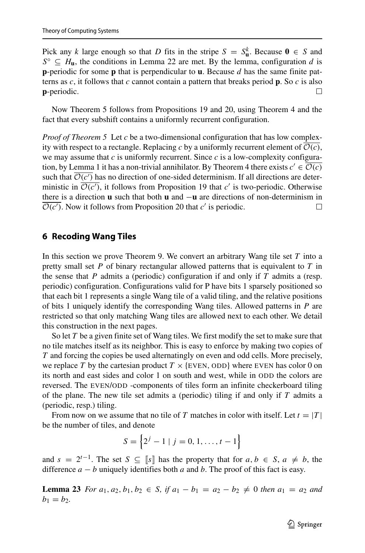Pick any *k* large enough so that *D* fits in the stripe  $S = S_{\mathbf{u}}^k$ . Because  $\mathbf{0} \in S$  and  $S^{\circ} \subseteq H_{\mathbf{u}}$ , the conditions in Lemma 22 are met. By the lemma, configuration *d* is **p**-periodic for some **p** that is perpendicular to **u**. Because *d* has the same finite patterns as *c*, it follows that *c* cannot contain a pattern that breaks period **p**. So *c* is also **p**-periodic.  $\Box$ 

Now Theorem 5 follows from Propositions 19 and 20, using Theorem 4 and the fact that every subshift contains a uniformly recurrent configuration.

*Proof of Theorem 5* Let *c* be a two-dimensional configuration that has low complexity with respect to a rectangle. Replacing c by a uniformly recurrent element of  $\mathcal{O}(c)$ , we may assume that *c* is uniformly recurrent. Since *c* is a low-complexity configuration, by Lemma 1 it has a non-trivial annihilator. By Theorem 4 there exists  $c' \in \mathcal{O}(c)$ such that  $\mathcal{O}(c')$  has no direction of one-sided determinism. If all directions are deterministic in  $\mathcal{O}(c')$ , it follows from Proposition 19 that  $c'$  is two-periodic. Otherwise there is a direction **u** such that both **u** and  $-\mathbf{u}$  are directions of non-determinism in  $\overline{O(c')}$ . Now it follows from Proposition 20 that c' is periodic.  $\mathcal{O}(c')$ . Now it follows from Proposition 20 that  $c'$  is periodic.

## **6 Recoding Wang Tiles**

In this section we prove Theorem 9. We convert an arbitrary Wang tile set *T* into a pretty small set *P* of binary rectangular allowed patterns that is equivalent to *T* in the sense that *P* admits a (periodic) configuration if and only if *T* admits a (resp. periodic) configuration. Configurations valid for P have bits 1 sparsely positioned so that each bit 1 represents a single Wang tile of a valid tiling, and the relative positions of bits 1 uniquely identify the corresponding Wang tiles. Allowed patterns in *P* are restricted so that only matching Wang tiles are allowed next to each other. We detail this construction in the next pages.

So let *T* be a given finite set of Wang tiles. We first modify the set to make sure that no tile matches itself as its neighbor. This is easy to enforce by making two copies of *T* and forcing the copies be used alternatingly on even and odd cells. More precisely, we replace *T* by the cartesian product  $T \times \{EVEN, ODD\}$  where EVEN has color 0 on its north and east sides and color 1 on south and west, while in ODD the colors are reversed. The EVEN/ODD -components of tiles form an infinite checkerboard tiling of the plane. The new tile set admits a (periodic) tiling if and only if *T* admits a (periodic, resp.) tiling.

From now on we assume that no tile of *T* matches in color with itself. Let  $t = |T|$ be the number of tiles, and denote

$$
S = \left\{ 2^{j} - 1 \mid j = 0, 1, \dots, t - 1 \right\}
$$

and  $s = 2^{t-1}$ . The set  $S \subseteq [s]$  has the property that for  $a, b \in S$ ,  $a \neq b$ , the difference  $a - b$  uniquely identifies both  $a$  and  $b$ . The proof of this fact is easy.

**Lemma 23** *For*  $a_1, a_2, b_1, b_2 \in S$ , if  $a_1 - b_1 = a_2 - b_2 \neq 0$  then  $a_1 = a_2$  and  $b_1 = b_2.$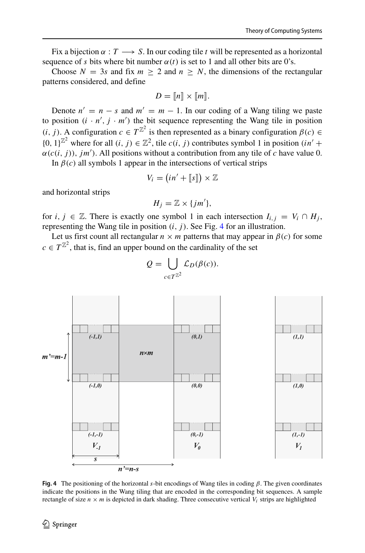Fix a bijection  $\alpha : T \longrightarrow S$ . In our coding tile *t* will be represented as a horizontal sequence of *s* bits where bit number  $\alpha(t)$  is set to 1 and all other bits are 0's.

Choose  $N = 3s$  and fix  $m > 2$  and  $n > N$ , the dimensions of the rectangular patterns considered, and define

$$
D = [[n]] \times [[m]].
$$

Denote  $n' = n - s$  and  $m' = m - 1$ . In our coding of a Wang tiling we paste to position  $(i \cdot n', j \cdot m')$  the bit sequence representing the Wang tile in position *(i, j)*. A configuration  $c \in T^{\mathbb{Z}^2}$  is then represented as a binary configuration  $\beta(c)$  ∈  $\{0, 1\}^{\mathbb{Z}^2}$  where for all  $(i, j) \in \mathbb{Z}^2$ , tile  $c(i, j)$  contributes symbol 1 in position  $(in' +$  $\alpha(c(i, j))$ ,  $jm'$ ). All positions without a contribution from any tile of *c* have value 0.

In  $\beta(c)$  all symbols 1 appear in the intersections of vertical strips

$$
V_i = (in' + [\![s]\!]) \times \mathbb{Z}
$$

and horizontal strips

$$
H_j=\mathbb{Z}\times\{jm'\},\
$$

for *i*,  $j \in \mathbb{Z}$ . There is exactly one symbol 1 in each intersection  $I_{i,j} = V_i \cap H_j$ , representing the Wang tile in position  $(i, j)$ . See Fig. [4](#page-17-0) for an illustration.

Let us first count all rectangular  $n \times m$  patterns that may appear in  $\beta(c)$  for some  $c \in T^{\mathbb{Z}^2}$ , that is, find an upper bound on the cardinality of the set

<span id="page-17-0"></span>

$$
Q = \bigcup_{c \in T^{\mathbb{Z}^2}} \mathcal{L}_D(\beta(c)).
$$

**Fig. 4** The positioning of the horizontal *s*-bit encodings of Wang tiles in coding *β*. The given coordinates indicate the positions in the Wang tiling that are encoded in the corresponding bit sequences. A sample rectangle of size  $n \times m$  is depicted in dark shading. Three consecutive vertical  $V_i$  strips are highlighted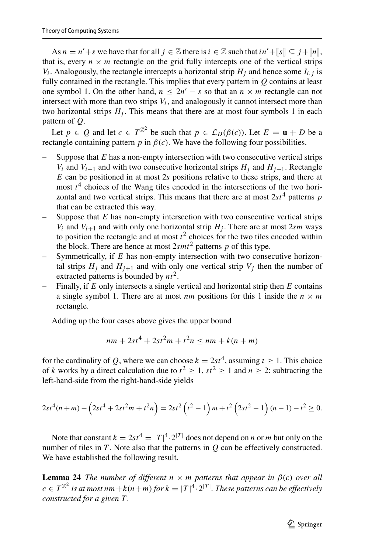As  $n = n' + s$  we have that for all  $j \in \mathbb{Z}$  there is  $i \in \mathbb{Z}$  such that  $in' + \llbracket s \rrbracket \subseteq j + \llbracket n \rrbracket$ , that is, every  $n \times m$  rectangle on the grid fully intercepts one of the vertical strips *V<sub>i</sub>*. Analogously, the rectangle intercepts a horizontal strip  $H_i$  and hence some  $I_{i,j}$  is fully contained in the rectangle. This implies that every pattern in *Q* contains at least one symbol 1. On the other hand,  $n \leq 2n' - s$  so that an  $n \times m$  rectangle can not intersect with more than two strips  $V_i$ , and analogously it cannot intersect more than two horizontal strips  $H_i$ . This means that there are at most four symbols 1 in each pattern of *Q*.

Let  $p \in Q$  and let  $c \in T^{\mathbb{Z}^2}$  be such that  $p \in \mathcal{L}_D(\beta(c))$ . Let  $E = \mathbf{u} + D$  be a rectangle containing pattern  $p$  in  $\beta(c)$ . We have the following four possibilities.

- Suppose that  $E$  has a non-empty intersection with two consecutive vertical strips *V<sub>i</sub>* and *V<sub>i+1</sub>* and with two consecutive horizontal strips  $H_j$  and  $H_{j+1}$ . Rectangle *E* can be positioned in at most 2*s* positions relative to these strips, and there at most  $t<sup>4</sup>$  choices of the Wang tiles encoded in the intersections of the two horizontal and two vertical strips. This means that there are at most  $2st^4$  patterns *p* that can be extracted this way.
- Suppose that  $E$  has non-empty intersection with two consecutive vertical strips *V<sub>i</sub>* and *V<sub>i+1</sub>* and with only one horizontal strip  $H_j$ . There are at most 2*sm* ways to position the rectangle and at most  $t^2$  choices for the two tiles encoded within the block. There are hence at most  $2smt^2$  patterns  $p$  of this type.
- Symmetrically, if *E* has non-empty intersection with two consecutive horizontal strips  $H_j$  and  $H_{j+1}$  and with only one vertical strip  $V_j$  then the number of extracted patterns is bounded by *nt*2.
- Finally, if *E* only intersects a single vertical and horizontal strip then *E* contains a single symbol 1. There are at most *nm* positions for this 1 inside the  $n \times m$ rectangle.

Adding up the four cases above gives the upper bound

$$
nm + 2st^4 + 2st^2m + t^2n \le nm + k(n+m)
$$

for the cardinality of *Q*, where we can choose  $k = 2st^4$ , assuming  $t > 1$ . This choice of *k* works by a direct calculation due to  $t^2 \ge 1$ ,  $st^2 \ge 1$  and  $n \ge 2$ : subtracting the left-hand-side from the right-hand-side yields

$$
2st^{4}(n+m) - \left(2st^{4} + 2st^{2}m + t^{2}n\right) = 2st^{2}\left(t^{2} - 1\right)m + t^{2}\left(2st^{2} - 1\right)(n-1) - t^{2} \ge 0.
$$

Note that constant  $k = 2st^4 = |T|^4 \cdot 2^{|T|}$  does not depend on *n* or *m* but only on the number of tiles in *T* . Note also that the patterns in *Q* can be effectively constructed. We have established the following result.

**Lemma 24** *The number of different*  $n \times m$  *patterns that appear in*  $\beta(c)$  *over all*  $c \in T^{\mathbb{Z}^2}$  is at most  $nm + k(n+m)$  for  $k = |T|^4 \cdot 2^{|T|}$ . These patterns can be effectively *constructed for a given T .*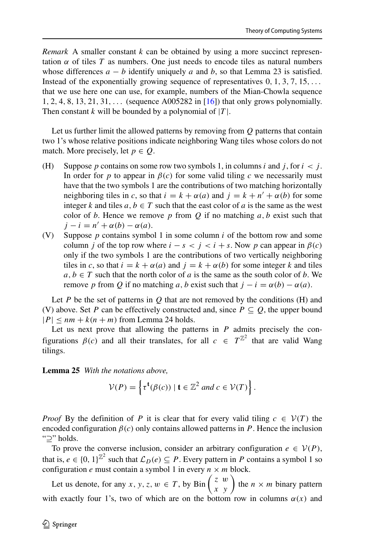*Remark* A smaller constant *k* can be obtained by using a more succinct representation  $\alpha$  of tiles  $T$  as numbers. One just needs to encode tiles as natural numbers whose differences  $a - b$  identify uniquely a and b, so that Lemma 23 is satisfied. Instead of the exponentially growing sequence of representatives 0*,* 1*,* 3*,* 7*,* 15*,...* that we use here one can use, for example, numbers of the Mian-Chowla sequence 1*,* 2*,* 4*,* 8*,* 13*,* 21*,* 31*,...* (sequence A005282 in [\[16\]](#page-23-13)) that only grows polynomially. Then constant  $k$  will be bounded by a polynomial of  $|T|$ .

Let us further limit the allowed patterns by removing from *Q* patterns that contain two 1's whose relative positions indicate neighboring Wang tiles whose colors do not match. More precisely, let  $p \in Q$ .

- (H) Suppose *p* contains on some row two symbols 1, in columns *i* and *j*, for  $i < j$ . In order for *p* to appear in  $\beta(c)$  for some valid tiling *c* we necessarily must have that the two symbols 1 are the contributions of two matching horizontally neighboring tiles in *c*, so that  $i = k + \alpha(a)$  and  $j = k + n' + \alpha(b)$  for some integer *k* and tiles  $a, b \in T$  such that the east color of  $a$  is the same as the west color of  $b$ . Hence we remove  $p$  from  $Q$  if no matching  $a, b$  exist such that  $j - i = n' + \alpha(b) - \alpha(a)$ .
- (V) Suppose *p* contains symbol 1 in some column *i* of the bottom row and some column *j* of the top row where  $i - s < j < i + s$ . Now *p* can appear in  $\beta(c)$ only if the two symbols 1 are the contributions of two vertically neighboring tiles in *c*, so that  $i = k + \alpha(a)$  and  $j = k + \alpha(b)$  for some integer *k* and tiles  $a, b \in T$  such that the north color of *a* is the same as the south color of *b*. We remove *p* from *Q* if no matching *a*, *b* exist such that  $j - i = \alpha(b) - \alpha(a)$ .

Let *P* be the set of patterns in *Q* that are not removed by the conditions (H) and (V) above. Set *P* can be effectively constructed and, since  $P \subseteq Q$ , the upper bound  $|P| \le nm + k(n+m)$  from Lemma 24 holds.

Let us next prove that allowing the patterns in *P* admits precisely the configurations  $\beta(c)$  and all their translates, for all  $c \in T^{\mathbb{Z}^2}$  that are valid Wang tilings.

**Lemma 25** *With the notations above,*

$$
\mathcal{V}(P) = \left\{ \tau^{\mathbf{t}}(\beta(c)) \mid \mathbf{t} \in \mathbb{Z}^2 \text{ and } c \in \mathcal{V}(T) \right\}.
$$

*Proof* By the definition of *P* it is clear that for every valid tiling  $c \in V(T)$  the encoded configuration  $\beta(c)$  only contains allowed patterns in *P*. Hence the inclusion "⊇" holds.

To prove the converse inclusion, consider an arbitrary configuration  $e \in V(P)$ , that is,  $e \in \{0, 1\}^{\mathbb{Z}^2}$  such that  $\mathcal{L}_D(e) \subseteq P$ . Every pattern in *P* contains a symbol 1 so configuration *e* must contain a symbol 1 in every  $n \times m$  block.

Let us denote, for any *x*, *y*, *z*,  $w \in T$ , by Bin  $\begin{pmatrix} z & w \\ x & y \end{pmatrix}$  the  $n \times m$  binary pattern with exactly four 1's, two of which are on the bottom row in columns  $\alpha(x)$  and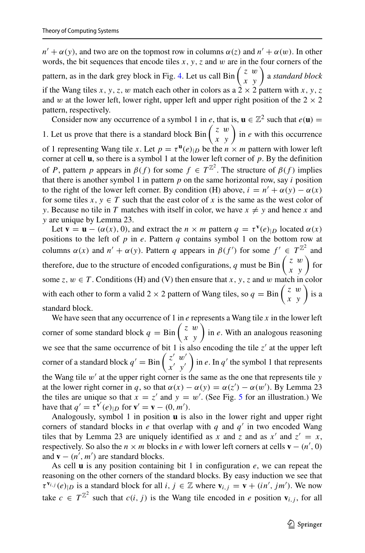$n' + \alpha(y)$ , and two are on the topmost row in columns  $\alpha(z)$  and  $n' + \alpha(w)$ . In other words, the bit sequences that encode tiles  $x$ ,  $y$ ,  $z$  and  $w$  are in the four corners of the pattern, as in the dark grey block in Fig. [4.](#page-17-0) Let us call  $\lim_{x \to y} \left( \begin{array}{c} z \ w \end{array} \right)$  a *standard block* if the Wang tiles *x*, *y*, *z*, *w* match each other in colors as a  $2 \times 2$  pattern with *x*, *y*, *z* and *w* at the lower left, lower right, upper left and upper right position of the  $2 \times 2$ pattern, respectively.

Consider now any occurrence of a symbol 1 in *e*, that is,  $\mathbf{u} \in \mathbb{Z}^2$  such that  $e(\mathbf{u}) =$ 1. Let us prove that there is a standard block Bin  $\begin{pmatrix} z & w \\ x & y \end{pmatrix}$  in *e* with this occurrence of 1 representing Wang tile *x*. Let  $p = \tau^{\mathbf{u}}(e)_{|D}$  be the  $n \times m$  pattern with lower left corner at cell **u**, so there is a symbol 1 at the lower left corner of *p*. By the definition of *P*, pattern *p* appears in  $\beta(f)$  for some  $f \in T^{\mathbb{Z}^2}$ . The structure of  $\beta(f)$  implies that there is another symbol 1 in pattern  $p$  on the same horizontal row, say  $i$  position to the right of the lower left corner. By condition (H) above,  $i = n' + \alpha(y) - \alpha(x)$ for some tiles  $x, y \in T$  such that the east color of x is the same as the west color of *y*. Because no tile in *T* matches with itself in color, we have  $x \neq y$  and hence *x* and *y* are unique by Lemma 23.

Let **v** = **u** –  $(\alpha(x), 0)$ , and extract the *n* × *m* pattern  $q = \tau^{\mathbf{v}}(e)_{|D}$  located  $\alpha(x)$ positions to the left of *p* in *e*. Pattern *q* contains symbol 1 on the bottom row at columns  $\alpha(x)$  and  $n' + \alpha(y)$ . Pattern *q* appears in  $\beta(f')$  for some  $f' \in T^{\mathbb{Z}^2}$  and therefore, due to the structure of encoded configurations, *q* must be Bin  $\begin{pmatrix} z & w \\ x & y \end{pmatrix}$  for some  $z, w \in T$ . Conditions (H) and (V) then ensure that *x*, *y*, *z* and *w* match in color with each other to form a valid 2  $\times$  2 pattern of Wang tiles, so  $q = \text{Bin} \begin{pmatrix} z & w \\ x & y \end{pmatrix}$  is a standard block.

We have seen that any occurrence of 1 in *e* represents a Wang tile *x* in the lower left corner of some standard block  $q = \text{Bin}\begin{pmatrix} z & w \\ x & y \end{pmatrix}$  in *e*. With an analogous reasoning we see that the same occurrence of bit 1 is also encoding the tile  $z'$  at the upper left corner of a standard block  $q' = \text{Bin} \begin{pmatrix} z' & w' \\ x' & y' \end{pmatrix}$ in *e*. In  $q'$  the symbol 1 that represents the Wang tile  $w'$  at the upper right corner is the same as the one that represents tile  $y$ at the lower right corner in *q*, so that  $\alpha(x) - \alpha(y) = \alpha(z') - \alpha(w')$ . By Lemma 23 the tiles are unique so that  $x = z'$  and  $y = w'$ . (See Fig. [5](#page-21-1) for an illustration.) We have that  $q' = \tau^{v'}(e)_{|D}$  for  $v' = v - (0, m')$ .

Analogously, symbol 1 in position **u** is also in the lower right and upper right corners of standard blocks in *e* that overlap with *q* and  $q'$  in two encoded Wang tiles that by Lemma 23 are uniquely identified as *x* and *z* and as  $x'$  and  $z' = x$ , respectively. So also the  $n \times m$  blocks in *e* with lower left corners at cells  $\mathbf{v} - (n', 0)$ and  $\mathbf{v} - (n', m')$  are standard blocks.

As cell **u** is any position containing bit 1 in configuration *e*, we can repeat the reasoning on the other corners of the standard blocks. By easy induction we see that  $\tau^{v_{i,j}}(e)_{|D}$  is a standard block for all *i*,  $j \in \mathbb{Z}$  where  $v_{i,j} = v + (in', jm')$ . We now take  $c \in T^{\mathbb{Z}^2}$  such that  $c(i, j)$  is the Wang tile encoded in *e* position  $\mathbf{v}_{i,j}$ , for all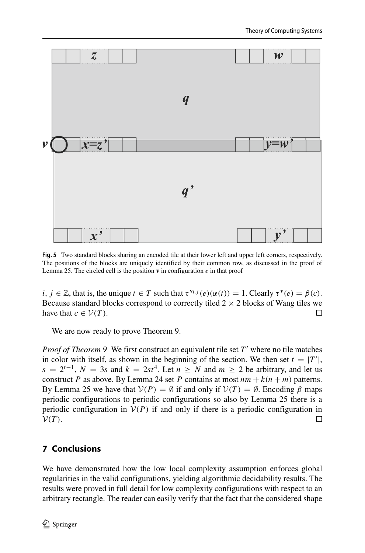<span id="page-21-1"></span>

**Fig. 5** Two standard blocks sharing an encoded tile at their lower left and upper left corners, respectively. The positions of the blocks are uniquely identified by their common row, as discussed in the proof of Lemma 25. The circled cell is the position **v** in configuration *e* in that proof

*i*,  $j \in \mathbb{Z}$ , that is, the unique  $t \in T$  such that  $\tau^{V_{i,j}}(e)(\alpha(t)) = 1$ . Clearly  $\tau^{V}(e) = \beta(c)$ . Because standard blocks correspond to correctly tiled  $2 \times 2$  blocks of Wang tiles we have that  $c \in V(T)$ . have that  $c \in \mathcal{V}(T)$ .

We are now ready to prove Theorem 9.

*Proof of Theorem 9* We first construct an equivalent tile set T' where no tile matches in color with itself, as shown in the beginning of the section. We then set  $t = |T'|$ ,  $s = 2^{t-1}$ ,  $N = 3s$  and  $k = 2st^4$ . Let  $n \ge N$  and  $m \ge 2$  be arbitrary, and let us construct *P* as above. By Lemma 24 set *P* contains at most  $nm + k(n + m)$  patterns. By Lemma 25 we have that  $V(P) = \emptyset$  if and only if  $V(T) = \emptyset$ . Encoding  $\beta$  maps periodic configurations to periodic configurations so also by Lemma 25 there is a periodic configuration in  $V(P)$  if and only if there is a periodic configuration in  $V(T)$ .  $V(T)$ .

## <span id="page-21-0"></span>**7 Conclusions**

We have demonstrated how the low local complexity assumption enforces global regularities in the valid configurations, yielding algorithmic decidability results. The results were proved in full detail for low complexity configurations with respect to an arbitrary rectangle. The reader can easily verify that the fact that the considered shape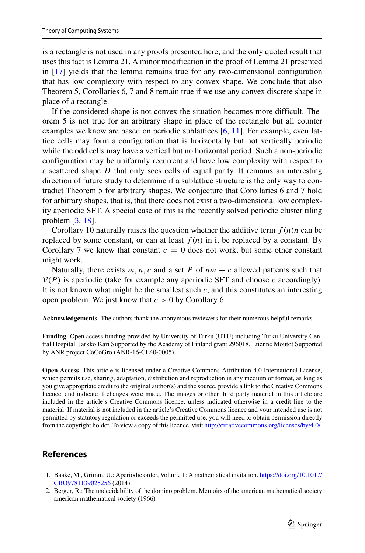is a rectangle is not used in any proofs presented here, and the only quoted result that uses this fact is Lemma 21. A minor modification in the proof of Lemma 21 presented in [\[17\]](#page-23-12) yields that the lemma remains true for any two-dimensional configuration that has low complexity with respect to any convex shape. We conclude that also Theorem 5, Corollaries 6, 7 and 8 remain true if we use any convex discrete shape in place of a rectangle.

If the considered shape is not convex the situation becomes more difficult. Theorem 5 is not true for an arbitrary shape in place of the rectangle but all counter examples we know are based on periodic sublattices [\[6,](#page-23-4) [11\]](#page-23-14). For example, even lattice cells may form a configuration that is horizontally but not vertically periodic while the odd cells may have a vertical but no horizontal period. Such a non-periodic configuration may be uniformly recurrent and have low complexity with respect to a scattered shape *D* that only sees cells of equal parity. It remains an interesting direction of future study to determine if a sublattice structure is the only way to contradict Theorem 5 for arbitrary shapes. We conjecture that Corollaries 6 and 7 hold for arbitrary shapes, that is, that there does not exist a two-dimensional low complexity aperiodic SFT. A special case of this is the recently solved periodic cluster tiling problem [\[3,](#page-23-15) [18\]](#page-23-16).

Corollary 10 naturally raises the question whether the additive term  $f(n)n$  can be replaced by some constant, or can at least  $f(n)$  in it be replaced by a constant. By Corollary 7 we know that constant  $c = 0$  does not work, but some other constant might work.

Naturally, there exists  $m, n, c$  and a set  $P$  of  $nm + c$  allowed patterns such that  $V(P)$  is aperiodic (take for example any aperiodic SFT and choose  $c$  accordingly). It is not known what might be the smallest such *c*, and this constitutes an interesting open problem. We just know that *c >* 0 by Corollary 6.

**Acknowledgements** The authors thank the anonymous reviewers for their numerous helpful remarks.

**Funding** Open access funding provided by University of Turku (UTU) including Turku University Central Hospital. Jarkko Kari Supported by the Academy of Finland grant 296018. Etienne Moutot Supported by ANR project CoCoGro (ANR-16-CE40-0005).

**Open Access** This article is licensed under a Creative Commons Attribution 4.0 International License, which permits use, sharing, adaptation, distribution and reproduction in any medium or format, as long as you give appropriate credit to the original author(s) and the source, provide a link to the Creative Commons licence, and indicate if changes were made. The images or other third party material in this article are included in the article's Creative Commons licence, unless indicated otherwise in a credit line to the material. If material is not included in the article's Creative Commons licence and your intended use is not permitted by statutory regulation or exceeds the permitted use, you will need to obtain permission directly from the copyright holder. To view a copy of this licence, visit [http://creativecommons.org/licenses/by/4.0/.](http://creativecommons.org/licenses/by/4.0/)

## **References**

- <span id="page-22-1"></span>1. Baake, M., Grimm, U.: Aperiodic order, Volume 1: A mathematical invitation. [https://doi.org/10.1017/](https://doi.org/10.1017/CBO9781139025256) [CBO9781139025256](https://doi.org/10.1017/CBO9781139025256) (2014)
- <span id="page-22-0"></span>2. Berger, R.: The undecidability of the domino problem. Memoirs of the american mathematical society american mathematical society (1966)